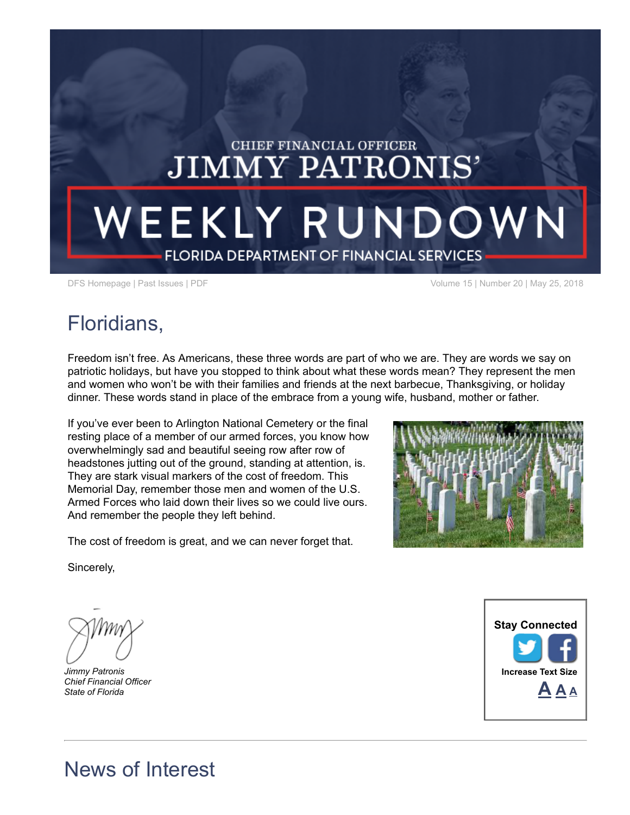# **CHIEF FINANCIAL OFFICER JIMMY PATRONIS'** WEEKLY RUNDOWN **FLORIDA DEPARTMENT OF FINANCIAL SERVICES**

DFS [Homepage](https://www.myfloridacfo.com/) | Past [Issues](/pressoffice/newsletter/archive/newsletterarchive.htm) | [PDF](https://www.myfloridacfo.com/pressoffice/newsletter/2018/052318/May_2318.pdf) Volume 15 | Number 20 | May 25, 2018

## Floridians,

Freedom isn't free. As Americans, these three words are part of who we are. They are words we say on patriotic holidays, but have you stopped to think about what these words mean? They represent the men and women who won't be with their families and friends at the next barbecue, Thanksgiving, or holiday dinner. These words stand in place of the embrace from a young wife, husband, mother or father.

If you've ever been to Arlington National Cemetery or the final resting place of a member of our armed forces, you know how overwhelmingly sad and beautiful seeing row after row of headstones jutting out of the ground, standing at attention, is. They are stark visual markers of the cost of freedom. This Memorial Day, remember those men and women of the U.S. Armed Forces who laid down their lives so we could live ours. And remember the people they left behind.

The cost of freedom is great, and we can never forget that.



Sincerely,

Jimmy Patronis Chief Financial Officer State of Florida



### News of Interest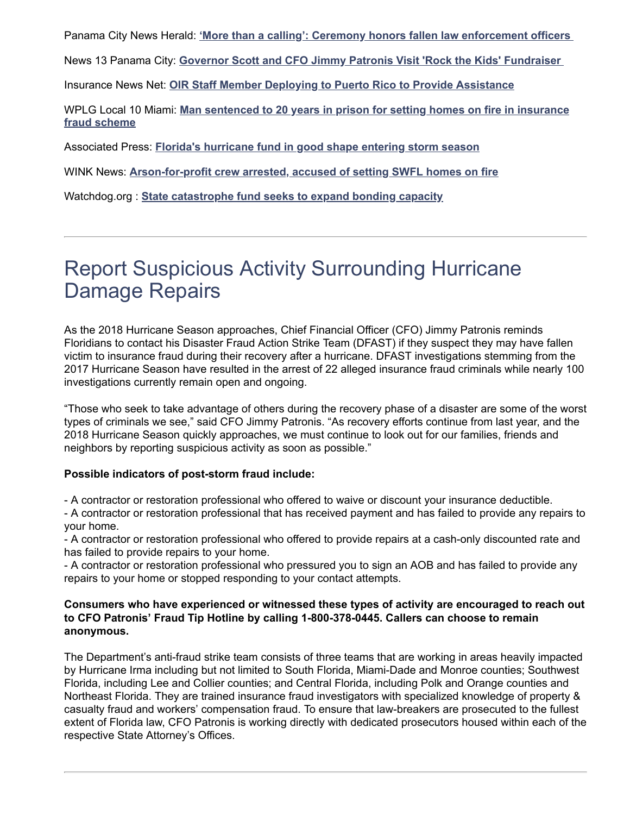Panama City News Herald: ['More than a calling': Ceremony honors fallen law enforcement officers](http://www.newsherald.com/news/20180517/more-than-calling-ceremony-honors-fallen-law-enforcement-officers) 

News 13 Panama City: [Governor Scott and CFO Jimmy Patronis Visit 'Rock the Kids' Fundraiser](http://www.mypanhandle.com/news/rock-the-kids-raises-money-for-anchorage-children-s-home/1190737771) 

Insurance News Net: [OIR Staff Member Deploying to Puerto Rico to Provide Assistance](https://insurancenewsnet.com/oarticle/oir-staff-member-deploying-to-puerto-rico-to-provide-assistance)

WPLG Local 10 Miami: [Man sentenced to 20 years in prison for setting homes on fire in insurance](https://www.local10.com/news/florida/miami-dade/man-sentenced-to-20-years-in-prison-for-setting-homes-on-fire-in-insurance-fraud-scheme) fraud scheme

Associated Press: [Florida's hurricane fund in good shape entering storm season](https://www.usnews.com/news/best-states/florida/articles/2018-05-21/floridas-hurricane-fund-in-good-shape-entering-storm-season)

WINK News: [Arson-for-profit crew arrested, accused of setting SWFL homes on fire](http://www.winknews.com/2018/05/18/arson-ring-behind-bars-accused-of-setting-fire-to-homes-collecting-thousands-from-insurance/)

Watchdog.org : [State catastrophe fund seeks to expand bonding capacity](https://www.watchdog.org/florida/state-catastrophe-fund-seeks-to-expand-bonding-capacity/article_151cf8b0-5c25-11e8-a11b-5781bd0beaf7.html)

### Report Suspicious Activity Surrounding Hurricane Damage Repairs

As the 2018 Hurricane Season approaches, Chief Financial Officer (CFO) Jimmy Patronis reminds Floridians to contact his Disaster Fraud Action Strike Team (DFAST) if they suspect they may have fallen victim to insurance fraud during their recovery after a hurricane. DFAST investigations stemming from the 2017 Hurricane Season have resulted in the arrest of 22 alleged insurance fraud criminals while nearly 100 investigations currently remain open and ongoing.

"Those who seek to take advantage of others during the recovery phase of a disaster are some of the worst types of criminals we see," said CFO Jimmy Patronis. "As recovery efforts continue from last year, and the 2018 Hurricane Season quickly approaches, we must continue to look out for our families, friends and neighbors by reporting suspicious activity as soon as possible."

#### Possible indicators of post-storm fraud include:

- A contractor or restoration professional who offered to waive or discount your insurance deductible.

- A contractor or restoration professional that has received payment and has failed to provide any repairs to your home.

- A contractor or restoration professional who offered to provide repairs at a cash-only discounted rate and has failed to provide repairs to your home.

- A contractor or restoration professional who pressured you to sign an AOB and has failed to provide any repairs to your home or stopped responding to your contact attempts.

#### Consumers who have experienced or witnessed these types of activity are encouraged to reach out to CFO Patronis' Fraud Tip Hotline by calling 1-800-378-0445. Callers can choose to remain anonymous.

The Department's anti-fraud strike team consists of three teams that are working in areas heavily impacted by Hurricane Irma including but not limited to South Florida, Miami-Dade and Monroe counties; Southwest Florida, including Lee and Collier counties; and Central Florida, including Polk and Orange counties and Northeast Florida. They are trained insurance fraud investigators with specialized knowledge of property & casualty fraud and workers' compensation fraud. To ensure that law-breakers are prosecuted to the fullest extent of Florida law, CFO Patronis is working directly with dedicated prosecutors housed within each of the respective State Attorney's Offices.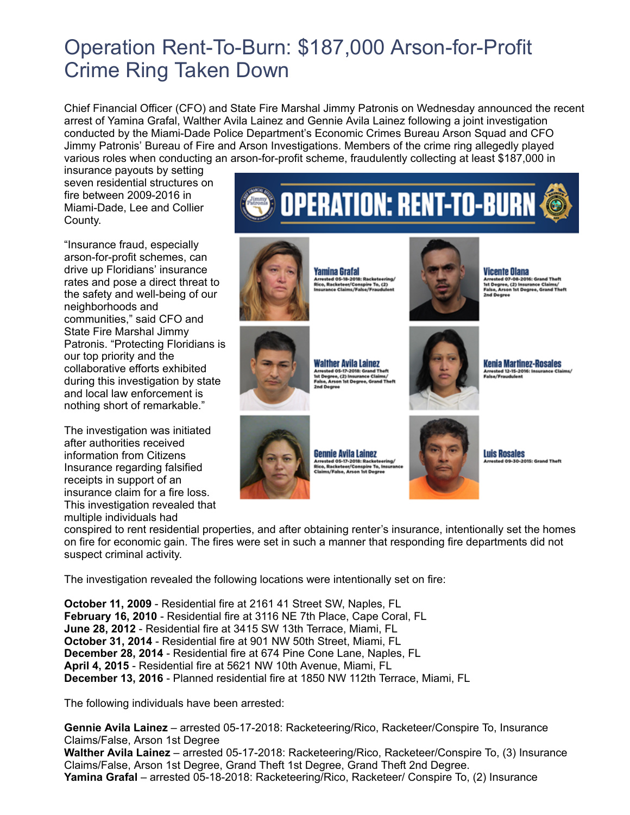### Operation Rent-To-Burn: \$187,000 Arson-for-Profit Crime Ring Taken Down

Chief Financial Officer (CFO) and State Fire Marshal Jimmy Patronis on Wednesday announced the recent arrest of Yamina Grafal, Walther Avila Lainez and Gennie Avila Lainez following a joint investigation conducted by the Miami-Dade Police Department's Economic Crimes Bureau Arson Squad and CFO Jimmy Patronis' Bureau of Fire and Arson Investigations. Members of the crime ring allegedly played various roles when conducting an arson-for-profit scheme, fraudulently collecting at least \$187,000 in

insurance payouts by setting seven residential structures on fire between 2009-2016 in Miami-Dade, Lee and Collier County.

"Insurance fraud, especially arson-for-profit schemes, can drive up Floridians' insurance rates and pose a direct threat to the safety and well-being of our neighborhoods and communities," said CFO and State Fire Marshal Jimmy Patronis. "Protecting Floridians is our top priority and the collaborative efforts exhibited during this investigation by state and local law enforcement is nothing short of remarkable."

The investigation was initiated after authorities received information from Citizens Insurance regarding falsified receipts in support of an insurance claim for a fire loss. This investigation revealed that multiple individuals had





Ist Degree, (2) Insurance Clai<br>False, Arson 1st Degree, Gran



krrested 12-15-2016:<br>!alse/Fraudulent



**Gennie Avila Lainez** 

**Luis Rosales** .<br>OSS: Grand

conspired to rent residential properties, and after obtaining renter's insurance, intentionally set the homes on fire for economic gain. The fires were set in such a manner that responding fire departments did not suspect criminal activity.

The investigation revealed the following locations were intentionally set on fire:

October 11, 2009 - Residential fire at 2161 41 Street SW, Naples, FL February 16, 2010 - Residential fire at 3116 NE 7th Place, Cape Coral, FL June 28, 2012 - Residential fire at 3415 SW 13th Terrace, Miami, FL October 31, 2014 - Residential fire at 901 NW 50th Street, Miami, FL December 28, 2014 - Residential fire at 674 Pine Cone Lane, Naples, FL April 4, 2015 - Residential fire at 5621 NW 10th Avenue, Miami, FL December 13, 2016 - Planned residential fire at 1850 NW 112th Terrace, Miami, FL

The following individuals have been arrested:

Gennie Avila Lainez – arrested 05-17-2018: Racketeering/Rico, Racketeer/Conspire To, Insurance Claims/False, Arson 1st Degree Walther Avila Lainez – arrested 05-17-2018: Racketeering/Rico, Racketeer/Conspire To, (3) Insurance Claims/False, Arson 1st Degree, Grand Theft 1st Degree, Grand Theft 2nd Degree. Yamina Grafal – arrested 05-18-2018: Racketeering/Rico, Racketeer/ Conspire To, (2) Insurance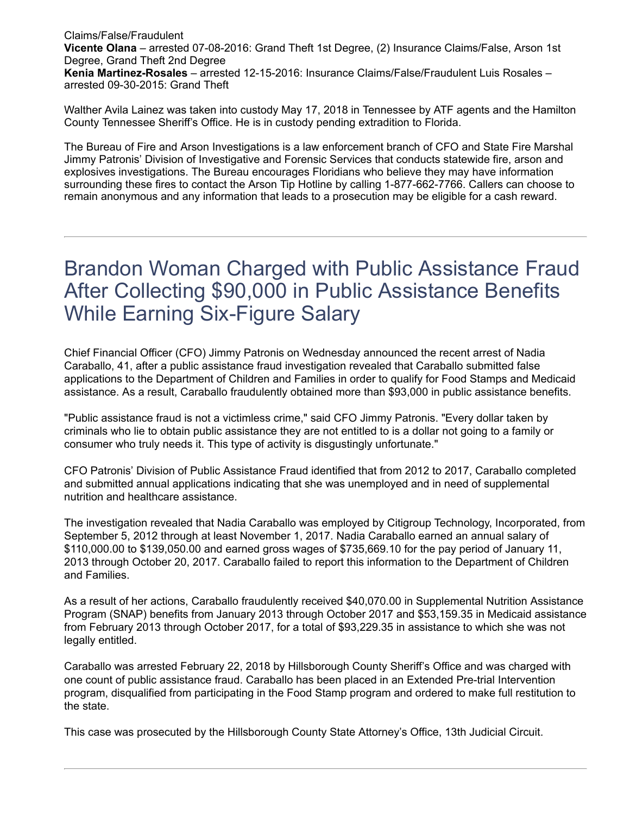Claims/False/Fraudulent Vicente Olana – arrested 07-08-2016: Grand Theft 1st Degree, (2) Insurance Claims/False, Arson 1st Degree, Grand Theft 2nd Degree Kenia Martinez-Rosales – arrested 12-15-2016: Insurance Claims/False/Fraudulent Luis Rosales – arrested 09-30-2015: Grand Theft

Walther Avila Lainez was taken into custody May 17, 2018 in Tennessee by ATF agents and the Hamilton County Tennessee Sheriff's Office. He is in custody pending extradition to Florida.

The Bureau of Fire and Arson Investigations is a law enforcement branch of CFO and State Fire Marshal Jimmy Patronis' Division of Investigative and Forensic Services that conducts statewide fire, arson and explosives investigations. The Bureau encourages Floridians who believe they may have information surrounding these fires to contact the Arson Tip Hotline by calling 1-877-662-7766. Callers can choose to remain anonymous and any information that leads to a prosecution may be eligible for a cash reward.

### Brandon Woman Charged with Public Assistance Fraud After Collecting \$90,000 in Public Assistance Benefits While Earning Six-Figure Salary

Chief Financial Officer (CFO) Jimmy Patronis on Wednesday announced the recent arrest of Nadia Caraballo, 41, after a public assistance fraud investigation revealed that Caraballo submitted false applications to the Department of Children and Families in order to qualify for Food Stamps and Medicaid assistance. As a result, Caraballo fraudulently obtained more than \$93,000 in public assistance benefits.

"Public assistance fraud is not a victimless crime," said CFO Jimmy Patronis. "Every dollar taken by criminals who lie to obtain public assistance they are not entitled to is a dollar not going to a family or consumer who truly needs it. This type of activity is disgustingly unfortunate."

CFO Patronis' Division of Public Assistance Fraud identified that from 2012 to 2017, Caraballo completed and submitted annual applications indicating that she was unemployed and in need of supplemental nutrition and healthcare assistance.

The investigation revealed that Nadia Caraballo was employed by Citigroup Technology, Incorporated, from September 5, 2012 through at least November 1, 2017. Nadia Caraballo earned an annual salary of \$110,000.00 to \$139,050.00 and earned gross wages of \$735,669.10 for the pay period of January 11, 2013 through October 20, 2017. Caraballo failed to report this information to the Department of Children and Families.

As a result of her actions, Caraballo fraudulently received \$40,070.00 in Supplemental Nutrition Assistance Program (SNAP) benefits from January 2013 through October 2017 and \$53,159.35 in Medicaid assistance from February 2013 through October 2017, for a total of \$93,229.35 in assistance to which she was not legally entitled.

Caraballo was arrested February 22, 2018 by Hillsborough County Sheriff's Office and was charged with one count of public assistance fraud. Caraballo has been placed in an Extended Pre-trial Intervention program, disqualified from participating in the Food Stamp program and ordered to make full restitution to the state.

This case was prosecuted by the Hillsborough County State Attorney's Office, 13th Judicial Circuit.